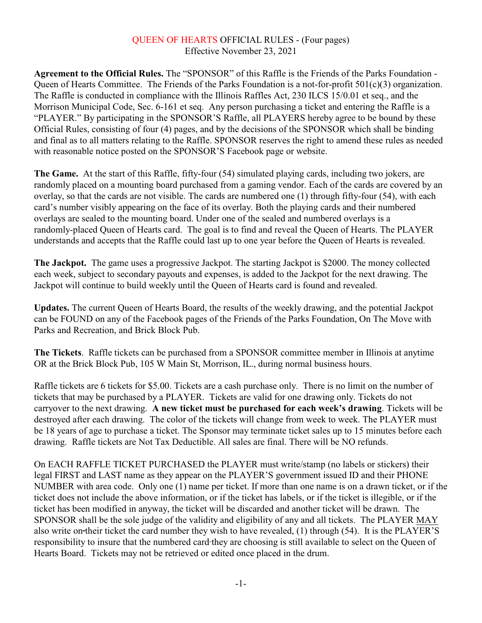## QUEEN OF HEARTS OFFICIAL RULES - (Four pages) Effective November 23, 2021

**Agreement to the Official Rules.** The "SPONSOR" of this Raffle is the Friends of the Parks Foundation - Queen of Hearts Committee. The Friends of the Parks Foundation is a not-for-profit 501(c)(3) organization. The Raffle is conducted in compliance with the Illinois Raffles Act, 230 ILCS 15/0.01 et seq., and the Morrison Municipal Code, Sec. 6-161 et seq. Any person purchasing a ticket and entering the Raffle is a "PLAYER." By participating in the SPONSOR'S Raffle, all PLAYERS hereby agree to be bound by these Official Rules, consisting of four (4) pages, and by the decisions of the SPONSOR which shall be binding and final as to all matters relating to the Raffle. SPONSOR reserves the right to amend these rules as needed with reasonable notice posted on the SPONSOR'S Facebook page or website.

**The Game.** At the start of this Raffle, fifty-four (54) simulated playing cards, including two jokers, are randomly placed on a mounting board purchased from a gaming vendor. Each of the cards are covered by an overlay, so that the cards are not visible. The cards are numbered one (1) through fifty-four (54), with each card's number visibly appearing on the face of its overlay. Both the playing cards and their numbered overlays are sealed to the mounting board. Under one of the sealed and numbered overlays is a randomly-placed Queen of Hearts card. The goal is to find and reveal the Queen of Hearts. The PLAYER understands and accepts that the Raffle could last up to one year before the Queen of Hearts is revealed.

**The Jackpot.** The game uses a progressive Jackpot. The starting Jackpot is \$2000. The money collected each week, subject to secondary payouts and expenses, is added to the Jackpot for the next drawing. The Jackpot will continue to build weekly until the Queen of Hearts card is found and revealed.

**Updates.** The current Queen of Hearts Board, the results of the weekly drawing, and the potential Jackpot can be FOUND on any of the Facebook pages of the Friends of the Parks Foundation, On The Move with Parks and Recreation, and Brick Block Pub.

**The Tickets**. Raffle tickets can be purchased from a SPONSOR committee member in Illinois at anytime OR at the Brick Block Pub, 105 W Main St, Morrison, IL., during normal business hours.

Raffle tickets are 6 tickets for \$5.00. Tickets are a cash purchase only. There is no limit on the number of tickets that may be purchased by a PLAYER. Tickets are valid for one drawing only. Tickets do not carryover to the next drawing. **A new ticket must be purchased for each week's drawing**. Tickets will be destroyed after each drawing. The color of the tickets will change from week to week. The PLAYER must be 18 years of age to purchase a ticket. The Sponsor may terminate ticket sales up to 15 minutes before each drawing. Raffle tickets are Not Tax Deductible. All sales are final. There will be NO refunds.

On EACH RAFFLE TICKET PURCHASED the PLAYER must write/stamp (no labels or stickers) their legal FIRST and LAST name as they appear on the PLAYER'S government issued ID and their PHONE NUMBER with area code. Only one (1) name per ticket. If more than one name is on a drawn ticket, or if the ticket does not include the above information, or if the ticket has labels, or if the ticket is illegible, or if the ticket has been modified in anyway, the ticket will be discarded and another ticket will be drawn. The SPONSOR shall be the sole judge of the validity and eligibility of any and all tickets. The PLAYER MAY also write on their ticket the card number they wish to have revealed, (1) through (54). It is the PLAYER'S responsibility to insure that the numbered card they are choosing is still available to select on the Queen of Hearts Board. Tickets may not be retrieved or edited once placed in the drum.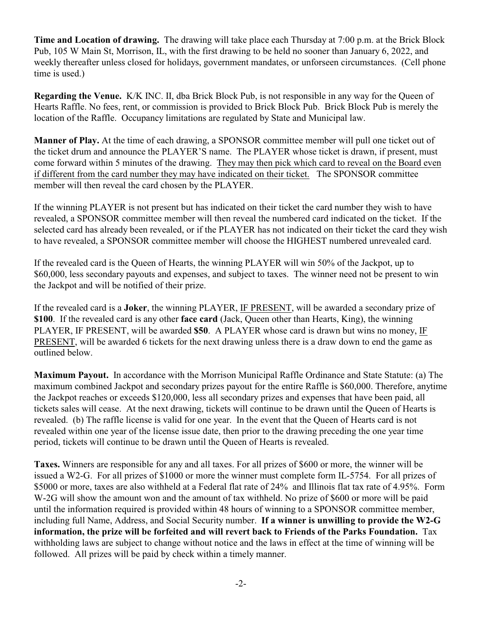**Time and Location of drawing.** The drawing will take place each Thursday at 7:00 p.m. at the Brick Block Pub, 105 W Main St, Morrison, IL, with the first drawing to be held no sooner than January 6, 2022, and weekly thereafter unless closed for holidays, government mandates, or unforseen circumstances. (Cell phone time is used.)

**Regarding the Venue.** K/K INC. II, dba Brick Block Pub, is not responsible in any way for the Queen of Hearts Raffle. No fees, rent, or commission is provided to Brick Block Pub. Brick Block Pub is merely the location of the Raffle. Occupancy limitations are regulated by State and Municipal law.

**Manner of Play.** At the time of each drawing, a SPONSOR committee member will pull one ticket out of the ticket drum and announce the PLAYER'S name. The PLAYER whose ticket is drawn, if present, must come forward within 5 minutes of the drawing. They may then pick which card to reveal on the Board even if different from the card number they may have indicated on their ticket. The SPONSOR committee member will then reveal the card chosen by the PLAYER.

If the winning PLAYER is not present but has indicated on their ticket the card number they wish to have revealed, a SPONSOR committee member will then reveal the numbered card indicated on the ticket. If the selected card has already been revealed, or if the PLAYER has not indicated on their ticket the card they wish to have revealed, a SPONSOR committee member will choose the HIGHEST numbered unrevealed card.

If the revealed card is the Queen of Hearts, the winning PLAYER will win 50% of the Jackpot, up to \$60,000, less secondary payouts and expenses, and subject to taxes. The winner need not be present to win the Jackpot and will be notified of their prize.

If the revealed card is a **Joker**, the winning PLAYER, IF PRESENT, will be awarded a secondary prize of **\$100**. If the revealed card is any other **face card** (Jack, Queen other than Hearts, King), the winning PLAYER, IF PRESENT, will be awarded **\$50**. A PLAYER whose card is drawn but wins no money, IF PRESENT, will be awarded 6 tickets for the next drawing unless there is a draw down to end the game as outlined below.

**Maximum Payout.** In accordance with the Morrison Municipal Raffle Ordinance and State Statute: (a) The maximum combined Jackpot and secondary prizes payout for the entire Raffle is \$60,000. Therefore, anytime the Jackpot reaches or exceeds \$120,000, less all secondary prizes and expenses that have been paid, all tickets sales will cease. At the next drawing, tickets will continue to be drawn until the Queen of Hearts is revealed. (b) The raffle license is valid for one year. In the event that the Queen of Hearts card is not revealed within one year of the license issue date, then prior to the drawing preceding the one year time period, tickets will continue to be drawn until the Queen of Hearts is revealed.

**Taxes.** Winners are responsible for any and all taxes. For all prizes of \$600 or more, the winner will be issued a W2-G. For all prizes of \$1000 or more the winner must complete form IL-5754. For all prizes of \$5000 or more, taxes are also withheld at a Federal flat rate of 24% and Illinois flat tax rate of 4.95%. Form W-2G will show the amount won and the amount of tax withheld. No prize of \$600 or more will be paid until the information required is provided within 48 hours of winning to a SPONSOR committee member, including full Name, Address, and Social Security number. **If a winner is unwilling to provide the W2-G information, the prize will be forfeited and will revert back to Friends of the Parks Foundation.** Tax withholding laws are subject to change without notice and the laws in effect at the time of winning will be followed. All prizes will be paid by check within a timely manner.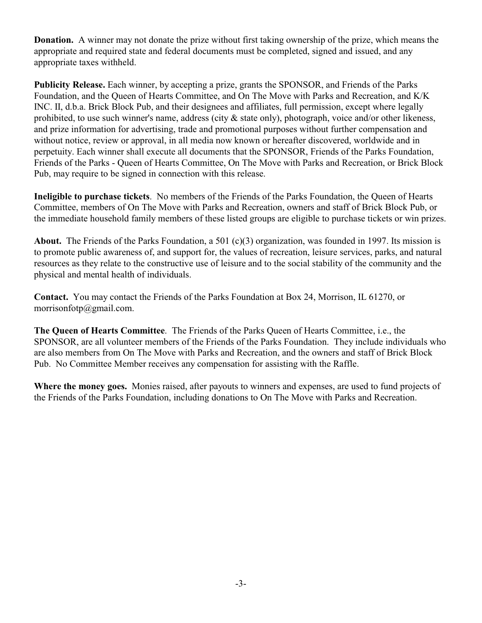**Donation.** A winner may not donate the prize without first taking ownership of the prize, which means the appropriate and required state and federal documents must be completed, signed and issued, and any appropriate taxes withheld.

**Publicity Release.** Each winner, by accepting a prize, grants the SPONSOR, and Friends of the Parks Foundation, and the Queen of Hearts Committee, and On The Move with Parks and Recreation, and K/K INC. II, d.b.a. Brick Block Pub, and their designees and affiliates, full permission, except where legally prohibited, to use such winner's name, address (city & state only), photograph, voice and/or other likeness, and prize information for advertising, trade and promotional purposes without further compensation and without notice, review or approval, in all media now known or hereafter discovered, worldwide and in perpetuity. Each winner shall execute all documents that the SPONSOR, Friends of the Parks Foundation, Friends of the Parks - Queen of Hearts Committee, On The Move with Parks and Recreation, or Brick Block Pub, may require to be signed in connection with this release.

**Ineligible to purchase tickets**. No members of the Friends of the Parks Foundation, the Queen of Hearts Committee, members of On The Move with Parks and Recreation, owners and staff of Brick Block Pub, or the immediate household family members of these listed groups are eligible to purchase tickets or win prizes.

**About.** The Friends of the Parks Foundation, a 501 (c)(3) organization, was founded in 1997. Its mission is to promote public awareness of, and support for, the values of recreation, leisure services, parks, and natural resources as they relate to the constructive use of leisure and to the social stability of the community and the physical and mental health of individuals.

**Contact.** You may contact the Friends of the Parks Foundation at Box 24, Morrison, IL 61270, or morrisonfotp@gmail.com.

**The Queen of Hearts Committee**. The Friends of the Parks Queen of Hearts Committee, i.e., the SPONSOR, are all volunteer members of the Friends of the Parks Foundation. They include individuals who are also members from On The Move with Parks and Recreation, and the owners and staff of Brick Block Pub. No Committee Member receives any compensation for assisting with the Raffle.

**Where the money goes.** Monies raised, after payouts to winners and expenses, are used to fund projects of the Friends of the Parks Foundation, including donations to On The Move with Parks and Recreation.